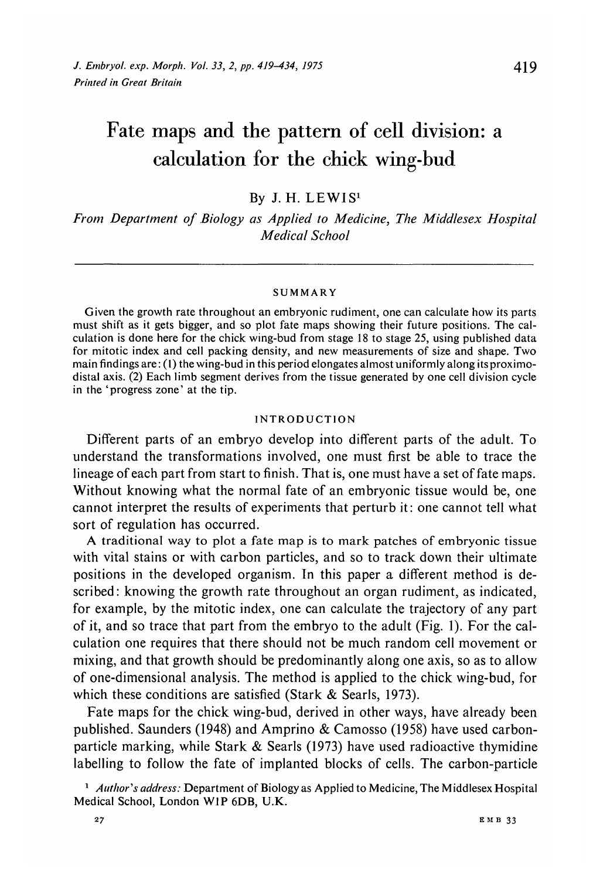# Fate maps and the pattern of cell division: a calculation for the chick wing-bud

## By J. H. LEWIS<sup>1</sup>

*From Department of Biology as Applied to Medicine, The Middlesex Hospital Medical School*

#### SUMMARY

Given the growth rate throughout an embryonic rudiment, one can calculate how its parts must shift as it gets bigger, and so plot fate maps showing their future positions. The cal culation is done here for the chick wing-bud from stage 18 to stage 25, using published data for mitotic index and cell packing density, and new measurements of size and shape. Two<br>main findings are: (1) the wing-bud in this period elongates almost uniformly along its proximodistal axis. (2) Each limb segment derives from the tissue generated by one cell division cycle in the 'progress zone' at the tip.

#### INTRODUCTION

Different parts of an embryo develop into different parts of the adult. To understand the transformations involved, one must first be able to trace the lineage of each part from start to finish. That is, one must have a set of fate maps. Without knowing what the normal fate of an embryonic tissue would be, one cannot interpret the results of experiments that perturb it: one cannot tell what sort of regulation has occurred.

A traditional way to plot a fate map is to mark patches of embryonic tissue with vital stains or with carbon particles, and so to track down their ultimate positions in the developed organism. In this paper a different method is described: knowing the growth rate throughout an organ rudiment, as indicated, for example, by the mitotic index, one can calculate the trajectory of any part of it, and so trace that part from the embryo to the adult (Fig. 1). For the calculation one requires that there should not be much random cell movement or mixing, and that growth should be predominantly along one axis, so as to allow of one-dimensional analysis. The method is applied to the chick wing-bud, for which these conditions are satisfied (Stark & Searls, 1973).

Fate maps for the chick wing-bud, derived in other ways, have already been published. Saunders (1948) and Amprino & Camosso (1958) have used carbonparticle marking, while Stark & Searls (1973) have used radioactive thymidine labelling to follow the fate of implanted blocks of cells. The carbon-particle

<sup>1</sup> *Author's address:* Department of Biology as Applied to Medicine, The Middlesex Hospital Medical School, London **W1P** 6DB, U.K.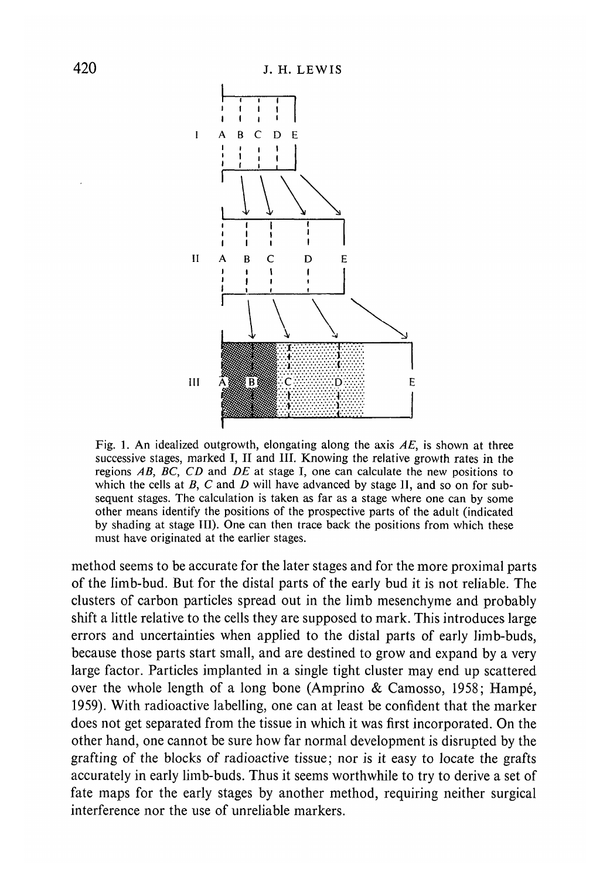

Fig. 1. An idealized outgrowth, elongating along the axis *AE,* is shown at three successive stages, marked I, II and III. Knowing the relative growth rates in the regions *AB, BC, CD* and *DE* at stage I, one can calculate the new positions to which the cells at *B*, *C* and *D* will have advanced by stage II, and so on for subsequent stages. The calculation is taken as far as a stage where one can by some other means identify the positions of the prospective parts of the adult (indicated by shading at stage III). One can then trace back the positions from which these must have originated at the earlier stages.

method seems to be accurate for the later stages and for the more proximal parts of the limb-bud. But for the distal parts of the early bud it is not reliable. The clusters of carbon particles spread out in the limb mesenchyme and probably shift a little relative to the cells they are supposed to mark. This introduces large errors and uncertainties when applied to the distal parts of early limb-buds, because those parts start small, and are destined to grow and expand by a very large factor. Particles implanted in a single tight cluster may end up scattered over the whole length of a long bone (Amprino & Camosso, 1958; Hampé, 1959). With radioactive labelling, one can at least be confident that the marker does not get separated from the tissue in which it was first incorporated. On the other hand, one cannot be sure how far normal development is disrupted by the grafting of the blocks of radioactive tissue; nor is it easy to locate the grafts accurately in early limb-buds. Thus it seems worthwhile to try to derive a set of fate maps for the early stages by another method, requiring neither surgical interference nor the use of unreliable markers.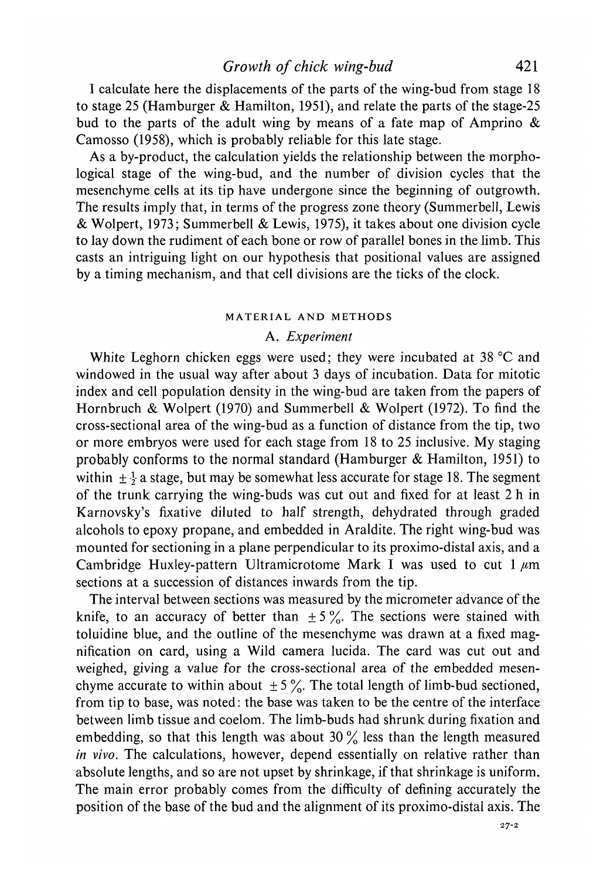I calculate here the displacements of the parts of the wing-bud from stage 18 to stage 25 (Hamburger & Hamilton, 1951), and relate the parts of the stage-25 bud to the parts of the adult wing by means of a fate map of Amprino & Camosso (1958), which is probably reliable for this late stage.

As a by-product, the calculation yields the relationship between the morphological stage of the wing-bud, and the number of division cycles that the mesenchyme cells at its tip have undergone since the beginning of outgrowth. The results imply that, in terms of the progress zone theory (Summerbell, Lewis & Wolpert, 1973; Summerbell & Lewis, 1975), it takes about one division cycle to lay down the rudiment of each bone or row of parallel bones in the limb. This casts an intriguing light on our hypothesis that positional values are assigned by a timing mechanism, and that cell divisions are the ticks of the clock.

#### MATERIAL AND METHODS

## A. *Experiment*

White Leghorn chicken eggs were used; they were incubated at 38 °C and windowed in the usual way after about 3 days of incubation. Data for mitotic index and cell population density in the wing-bud are taken from the papers of Hornbruch & Wolpert (1970) and Summerbell & Wolpert (1972). To find the cross-sectional area of the wing-bud as a function of distance from the tip, two or more embryos were used for each stage from 18 to 25 inclusive. My staging probably conforms to the normal standard (Hamburger & Hamilton, 1951) to within  $\pm \frac{1}{2}$  a stage, but may be somewhat less accurate for stage 18. The segment of the trunk carrying the wing-buds was cut out and fixed for at least 2 h in Karnovsky's fixative diluted to half strength, dehydrated through graded alcohols to epoxy propane, and embedded in Araldite. The right wing-bud was mounted for sectioning in a plane perpendicular to its proximo-distal axis, and a Cambridge Huxley-pattern Ultramicrotome Mark I was used to cut 1  $\mu$ m sections at a succession of distances inwards from the tip.

The interval between sections was measured by the micrometer advance of the knife, to an accuracy of better than  $\pm 5\%$ . The sections were stained with toluidine blue, and the outline of the mesenchyme was drawn at a fixed magnification on card, using a Wild camera lucida. The card was cut out and weighed, giving a value for the cross-sectional area of the embedded mesenchyme accurate to within about  $\pm 5\%$ . The total length of limb-bud sectioned, from tip to base, was noted: the base was taken to be the centre of the interface between limb tissue and coelom. The limb-buds had shrunk during fixation and embedding, so that this length was about 30  $\%$  less than the length measured *in vivo.* The calculations, however, depend essentially on relative rather than absolute lengths, and so are not upset by shrinkage, if that shrinkage is uniform. The main error probably comes from the difficulty of defining accurately the position of the base of the bud and the alignment of its proximo-distal axis. The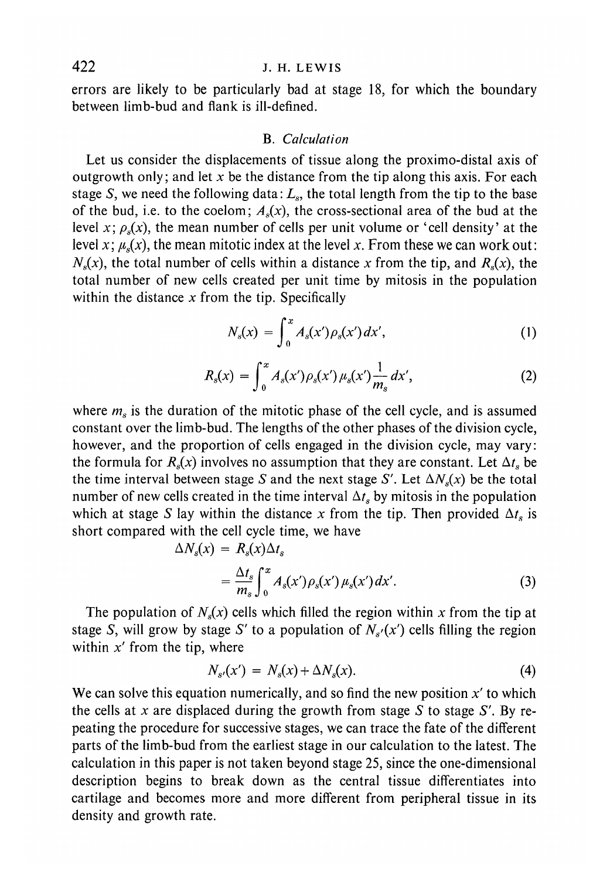errors are likely to be particularly bad at stage 18, for which the boundary between limb-bud and flank is ill-defined.

#### B. *Calculation*

Let us consider the displacements of tissue along the proximo-distal axis of outgrowth only; and let *x* be the distance from the tip along this axis. For each stage *S*, we need the following data:  $L_s$ , the total length from the tip to the base of the bud, i.e. to the coelom;  $A_s(x)$ , the cross-sectional area of the bud at the level x;  $\rho_s(x)$ , the mean number of cells per unit volume or 'cell density' at the level x;  $\mu_s(x)$ , the mean mitotic index at the level x. From these we can work out:  $N<sub>s</sub>(x)$ , the total number of cells within a distance x from the tip, and  $R<sub>s</sub>(x)$ , the total number of new cells created per unit time by mitosis in the population within the distance *x* from the tip. Specifically

$$
N_s(x) = \int_0^x A_s(x') \rho_s(x') dx', \qquad (1)
$$

$$
R_s(x) = \int_0^x A_s(x') \rho_s(x') \mu_s(x') \frac{1}{m_s} dx',
$$
 (2)

where  $m<sub>s</sub>$  is the duration of the mitotic phase of the cell cycle, and is assumed constant over the limb-bud. The lengths of the other phases of the division cycle, however, and the proportion of cells engaged in the division cycle, may vary: the formula for  $R_s(x)$  involves no assumption that they are constant. Let  $\Delta t_s$  be the time interval between stage *S* and the next stage *S'*. Let  $\Delta N_s(x)$  be the total number of new cells created in the time interval  $\Delta t_s$  by mitosis in the population which at stage *S* lay within the distance *x* from the tip. Then provided  $\Delta t_s$  is short compared with the cell cycle time, we have

$$
\Delta N_s(x) = R_s(x)\Delta t_s
$$
  
= 
$$
\frac{\Delta t_s}{m_s} \int_0^x A_s(x') \rho_s(x') \mu_s(x') dx'.
$$
 (3)

The population of  $N_s(x)$  cells which filled the region within x from the tip at stage *S*, will grow by stage *S'* to a population of  $N_{s'}(x')$  cells filling the region within  $x'$  from the tip, where

$$
N_{s'}(x') = N_s(x) + \Delta N_s(x). \tag{4}
$$

We can solve this equation numerically, and so find the new position  $x'$  to which the cells at x are displaced during the growth from stage S to stage  $S'$ . By repeating the procedure for successive stages, we can trace the fate of the different parts of the limb-bud from the earliest stage in our calculation to the latest. The calculation in this paper is not taken beyond stage 25, since the one-dimensional description begins to break down as the central tissue differentiates into cartilage and becomes more and more different from peripheral tissue in its density and growth rate.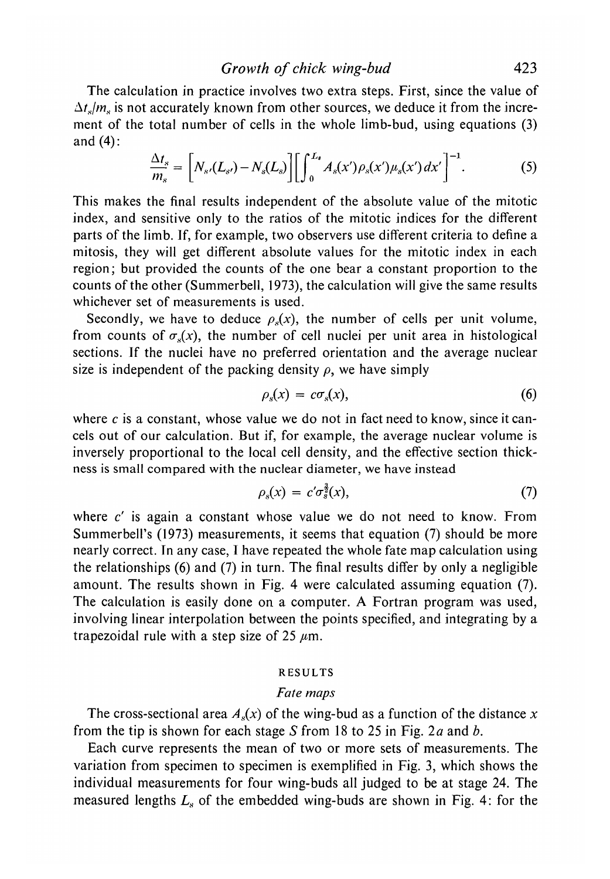*Growth of chick wing-bud* 423

The calculation in practice involves two extra steps. First, since the value of  $\Delta t_s/m_s$  is not accurately known from other sources, we deduce it from the increment of the total number of cells in the whole limb-bud, using equations (3) and (4):

$$
\frac{\Delta t_s}{m_s} = \left[ N_{s'}(L_{s'}) - N_s(L_s) \right] \left[ \int_0^{L_s} A_s(x') \rho_s(x') \mu_s(x') dx' \right]^{-1}.
$$
 (5)

This makes the final results independent of the absolute value of the mitotic index, and sensitive only to the ratios of the mitotic indices for the different parts of the limb. If, for example, two observers use different criteria to define a mitosis, they will get different absolute values for the mitotic index in each region; but provided the counts of the one bear a constant proportion to the counts of the other (Summerbell, 1973), the calculation will give the same results whichever set of measurements is used.

Secondly, we have to deduce  $\rho<sub>x</sub>(x)$ , the number of cells per unit volume, from counts of  $\sigma_s(x)$ , the number of cell nuclei per unit area in histological sections. If the nuclei have no preferred orientation and the average nuclear size is independent of the packing density  $\rho$ , we have simply

$$
\rho_s(x) = c\sigma_s(x),\tag{6}
$$

where *c* is a constant, whose value we do not in fact need to know, since it cancels out of our calculation. But if, for example, the average nuclear volume is inversely proportional to the local cell density, and the effective section thickness is small compared with the nuclear diameter, we have instead

$$
\rho_s(x) = c' \sigma_s^2(x),\tag{7}
$$

where *c'* is again a constant whose value we do not need to know. From Summerbell's (1973) measurements, it seems that equation (7) should be more nearly correct. In any case, I have repeated the whole fate map calculation using the relationships (6) and (7) in turn. The final results differ by only a negligible amount. The results shown in Fig. 4 were calculated assuming equation (7). The calculation is easily done on a computer. A Fortran program was used, involving linear interpolation between the points specified, and integrating by a trapezoidal rule with a step size of 25  $\mu$ m.

#### RESULTS

#### *Fate maps*

The cross-sectional area  $A_s(x)$  of the wing-bud as a function of the distance x from the tip is shown for each stage *S* from 18 to 25 in Fig. *2a* and *b.*

Each curve represents the mean of two or more sets of measurements. The variation from specimen to specimen is exemplified in Fig. 3, which shows the individual measurements for four wing-buds all judged to be at stage 24. The measured lengths *Ls* of the embedded wing-buds are shown in Fig. 4: for the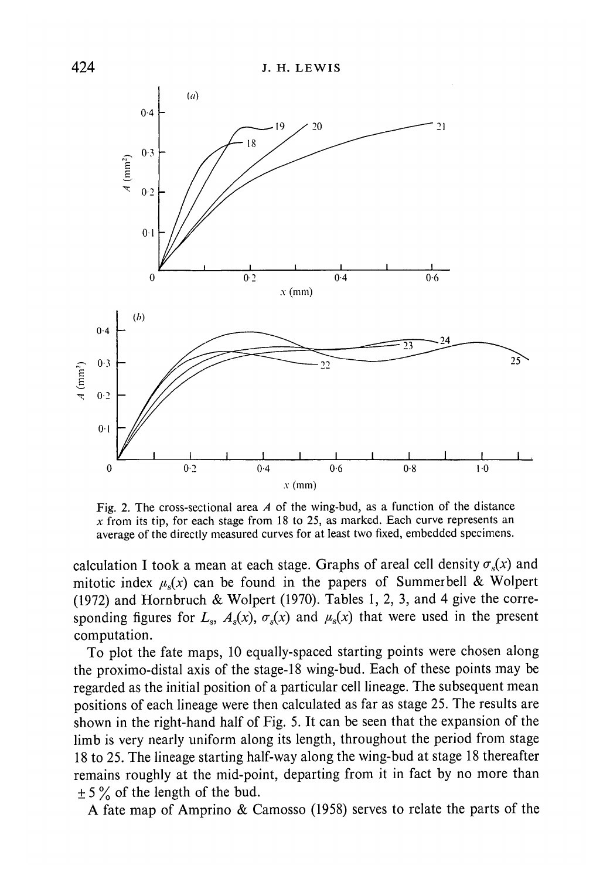

Fig. 2. The cross-sectional area *A* of the wing-bud, as a function of the distance *x* from its tip, for each stage from 18 to 25, as marked. Each curve represents an average of the directly measured curves for at least two fixed, embedded specimens.

calculation I took a mean at each stage. Graphs of areal cell density  $\sigma_s(x)$  and mitotic index  $\mu_s(x)$  can be found in the papers of Summer bell & Wolpert (1972) and Hornbruch & Wolpert (1970). Tables 1, *2,* 3, and 4 give the corresponding figures for  $L_s$ ,  $A_s(x)$ ,  $\sigma_s(x)$  and  $\mu_s(x)$  that were used in the present computation.

To plot the fate maps, 10 equally-spaced starting points were chosen along the proximo-distal axis of the stage-18 wing-bud. Each of these points may be regarded as the initial position of a particular cell lineage. The subsequent mean positions of each lineage were then calculated as far as stage 25. The results are shown in the right-hand half of Fig. 5. It can be seen that the expansion of the limb is very nearly uniform along its length, throughout the period from stage 18 to 25. The lineage starting half-way along the wing-bud at stage 18 thereafter remains roughly at the mid-point, departing from it in fact by no more than  $\pm$  5 % of the length of the bud.

A fate map of Amprino & Camosso (1958) serves to relate the parts of the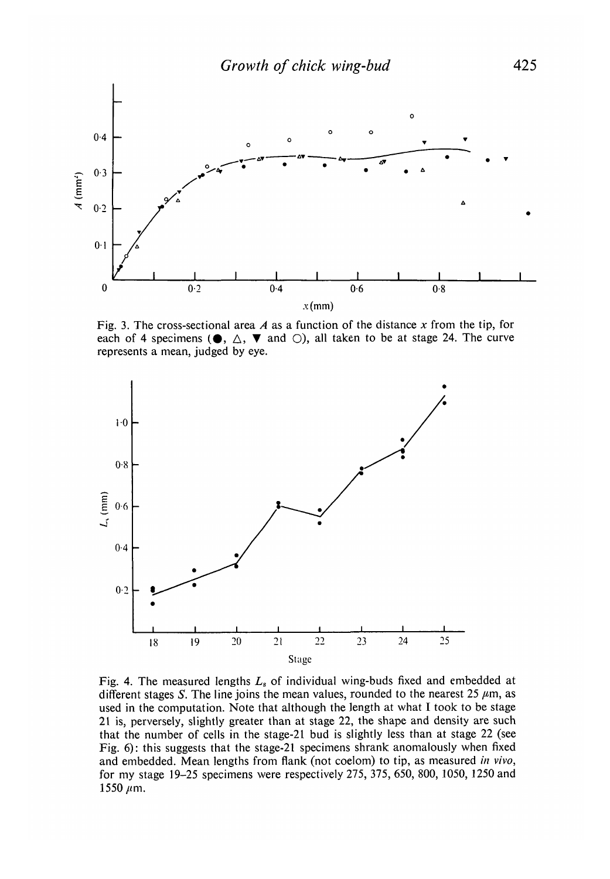

Fig. 3. The cross-sectional area *A* as a function of the distance *x* from the tip, for each of 4 specimens ( $\bullet$ ,  $\triangle$ ,  $\nabla$  and  $\bigcirc$ ), all taken to be at stage 24. The curve represents a mean, judged by eye.



Fig. 4. The measured lengths *Ls* of individual wing-buds fixed and embedded at different stages S. The line joins the mean values, rounded to the nearest  $25 \mu m$ , as used in the computation. Note that although the length at what I took to be stage 21 is, perversely, slightly greater than at stage 22, the shape and density are such that the number of cells in the stage-2l bud is slightly less than at stage 22 (see Fig. 6): this suggests that the stage-2l specimens shrank anomalously when fixed and embedded. Mean lengths from flank (not coelom) to tip, as measured *in vivo,* for my stage 19-25 specimens were respectively 275, 375, 650, 800, 1050, 1250 and 1550  $\mu$ m.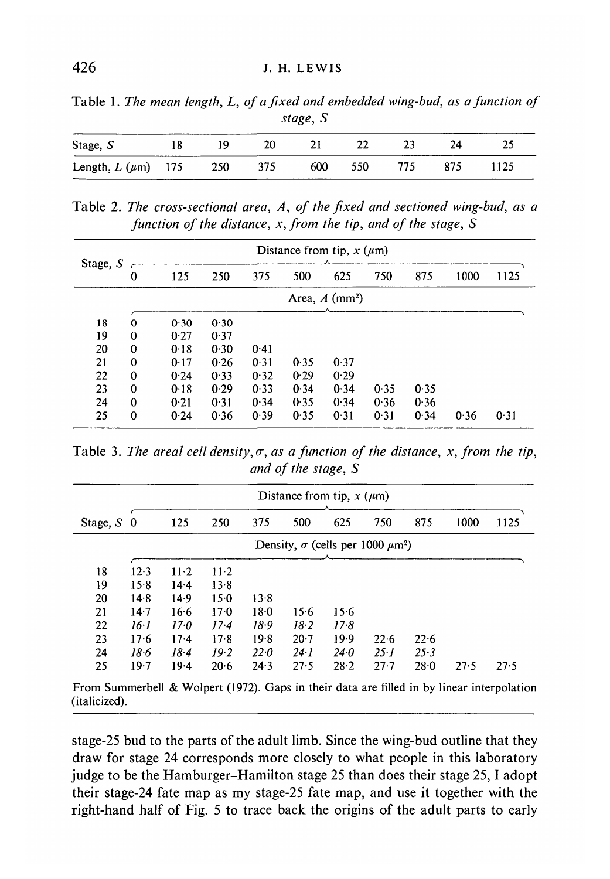Table 1. *The mean length, L, of a fixed and embedded wing-bud, as a function of stage, S*

| Stage, $S$             | 18 | 19    | 20  | 21  | 22  | 23  |     |  |
|------------------------|----|-------|-----|-----|-----|-----|-----|--|
| Length, $L(\mu m)$ 175 |    | - 250 | 375 | 600 | 550 | 775 | 875 |  |

Table 2. *The cross-sectional area, A, of the fixed and sectioned wing-bud, as a function of the distance, x, from the tip, and of the stage, S*

|          |   | Distance from tip, $x$ ( $\mu$ m) |      |      |      |                              |      |      |      |      |  |  |  |  |
|----------|---|-----------------------------------|------|------|------|------------------------------|------|------|------|------|--|--|--|--|
| Stage, S | 0 | 125                               | 250  | 375  | 500  | 625                          | 750  | 875  | 1000 | 1125 |  |  |  |  |
|          |   |                                   |      |      |      | Area, $A$ (mm <sup>2</sup> ) |      |      |      |      |  |  |  |  |
| 18       | 0 | 0.30                              | 0.30 |      |      |                              |      |      |      |      |  |  |  |  |
| 19       | 0 | 0.27                              | 0.37 |      |      |                              |      |      |      |      |  |  |  |  |
| 20       | 0 | 0.18                              | 0.30 | 0.41 |      |                              |      |      |      |      |  |  |  |  |
| 21       | 0 | 0.17                              | 0.26 | 0.31 | 0.35 | 0.37                         |      |      |      |      |  |  |  |  |
| 22       | 0 | 0.24                              | 0.33 | 0.32 | 0.29 | 0.29                         |      |      |      |      |  |  |  |  |
| 23       | 0 | 0.18                              | 0.29 | 0.33 | 0.34 | 0.34                         | 0.35 | 0.35 |      |      |  |  |  |  |
| 24       | 0 | 0.21                              | 0.31 | 0.34 | 0.35 | 0.34                         | 0.36 | 0.36 |      |      |  |  |  |  |
| 25       | 0 | 0.24                              | 0.36 | 0.39 | 0.35 | 0.31                         | 0.31 | 0.34 | 0.36 | 0.31 |  |  |  |  |

Table 3. The areal cell density,  $\sigma$ , as a function of the distance, x, from the tip, *and of the stage, S*

| Stage, $S$ 0 | Distance from tip, $x (\mu m)$ |        |          |      |                                                          |        |          |      |      |      |  |
|--------------|--------------------------------|--------|----------|------|----------------------------------------------------------|--------|----------|------|------|------|--|
|              |                                | 125    | 250      | 375  | 500                                                      | 625    | 750      | 875  | 1000 | 1125 |  |
|              |                                |        |          |      | Density, $\sigma$ (cells per 1000 $\mu$ m <sup>2</sup> ) |        |          |      |      |      |  |
| 18           | 12.3                           | $11-2$ | $11-2$   |      |                                                          |        |          |      |      |      |  |
| 19           | 15.8                           | 14.4   | 13.8     |      |                                                          |        |          |      |      |      |  |
| 20           | 14.8                           | 14.9   | 15.0     | 13.8 |                                                          |        |          |      |      |      |  |
| 21           | 14.7                           | 16.6   | 17.0     | 18.0 | 15.6                                                     | 15.6   |          |      |      |      |  |
| 22           | $16-1$                         | 17.0   | $17 - 4$ | 18.9 | 18.2                                                     | $17-8$ |          |      |      |      |  |
| 23           | 17.6                           | $17-4$ | 17.8     | 19.8 | $20-7$                                                   | 19.9   | 22.6     | 22.6 |      |      |  |
| 24           | 18.6                           | 18.4   | 19.2     | 22.0 | 24.1                                                     | 24.0   | $25 - 1$ | 25.3 |      |      |  |
| 25           | 19.7                           | 19.4   | 20.6     | 24.3 | 27.5                                                     | 28.2   | $27 - 7$ | 28.0 | 27.5 | 27.5 |  |

From Summerbell & Wolpert (1972). Gaps in their data are filled in by linear interpolation (italicized).

stage-25 bud to the parts of the adult limb. Since the wing-bud outline that they draw for stage 24 corresponds more closely to what people in this laboratory judge to be the Hamburger-Hamilton stage 25 than does their stage 25, I adopt their stage-24 fate map as my stage-25 fate map, and use it together with the right-hand half of Fig. 5 to trace back the origins of the adult parts to early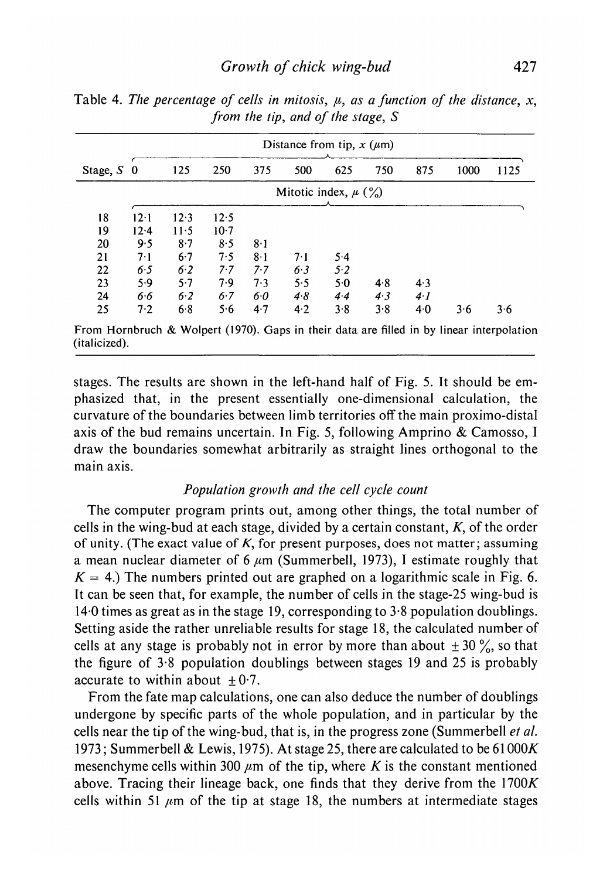| Stage, $S$ | Distance from tip, $x$ ( $\mu$ m) |       |        |             |                          |     |     |             |      |      |  |
|------------|-----------------------------------|-------|--------|-------------|--------------------------|-----|-----|-------------|------|------|--|
|            | - 0                               | 125   | 250    | 375         | 500                      | 625 | 750 | 875         | 1000 | 1125 |  |
|            |                                   |       |        |             | Mitotic index, $\mu$ (%) |     |     |             |      |      |  |
| 18         | 12.1                              | 12.3  | 12.5   |             |                          |     |     |             |      |      |  |
| 19         | 12.4                              | 11.5  | $10-7$ |             |                          |     |     |             |      |      |  |
| 20         | 9.5                               | $8-7$ | 8.5    | $8 \cdot 1$ |                          |     |     |             |      |      |  |
| 21         | 7·1                               | 6.7   | 7.5    | $8-1$       | 7.1                      | 5.4 |     |             |      |      |  |
| 22         | 6.5                               | 6.2   | 7.7    | 7.7         | 6.3                      | 5.2 |     |             |      |      |  |
| 23         | 5.9                               | 5.7   | 7.9    | 7.3         | 5.5                      | 5.0 | 4.8 | 4.3         |      |      |  |
| 24         | 6.6                               | 6.2   | 6.7    | 6.0         | 4.8                      | 4.4 | 4.3 | $4 \cdot I$ |      |      |  |
| 25         | 7.2                               | 6.8   | 5.6    | 4.7         | 4.2                      | 3.8 | 3.8 | 4.0         | 3.6  | 3.6  |  |

Table 4. The percentage of cells in mitosis,  $\mu$ , as a function of the distance, x, *from the tip, and of the stage, S*

stages. The results are shown in the left-hand half of Fig. 5. It should be emphasized that, in the present essentially one-dimensional calculation, the curvature of the boundaries between limb territories off the main proximo-distal axis of the bud remains uncertain. In Fig. 5, following Amprino  $\&$  Camosso, I draw the boundaries somewhat arbitrarily as straight lines orthogonal to the main axis.

# *Population growth and the cell cycle count*

The computer program prints out, among other things, the total number of cells in the wing-bud at each stage, divided by a certain constant, *K,* of the order of unity. (The exact value of  $K$ , for present purposes, does not matter; assuming a mean nuclear diameter of 6  $\mu$ m (Summerbell, 1973), I estimate roughly that  $K = 4$ .) The numbers printed out are graphed on a logarithmic scale in Fig. 6. It can be seen that, for example, the number of cells in the stage-25 wing-bud is 140 times as great as in the stage 19, corresponding to 3-8 population doublings. Setting aside the rather unreliable results for stage 18, the calculated number of cells at any stage is probably not in error by more than about  $\pm 30\%$ , so that the figure of 3-8 population doublings between stages 19 and 25 is probably accurate to within about  $+0.7$ .

From the fate map calculations, one can also deduce the number of doublings undergone by specific parts of the whole population, and in particular by the cells near the tip of the wing-bud, that is, in the progress zone (Summerbell *et al.* 1973; Summerbell & Lewis, 1975). At stage 25, there are calculated to be  $61000K$ mesenchyme cells within 300  $\mu$ m of the tip, where *K* is the constant mentioned above. Tracing their lineage back, one finds that they derive from the 1700K cells within 51  $\mu$ m of the tip at stage 18, the numbers at intermediate stages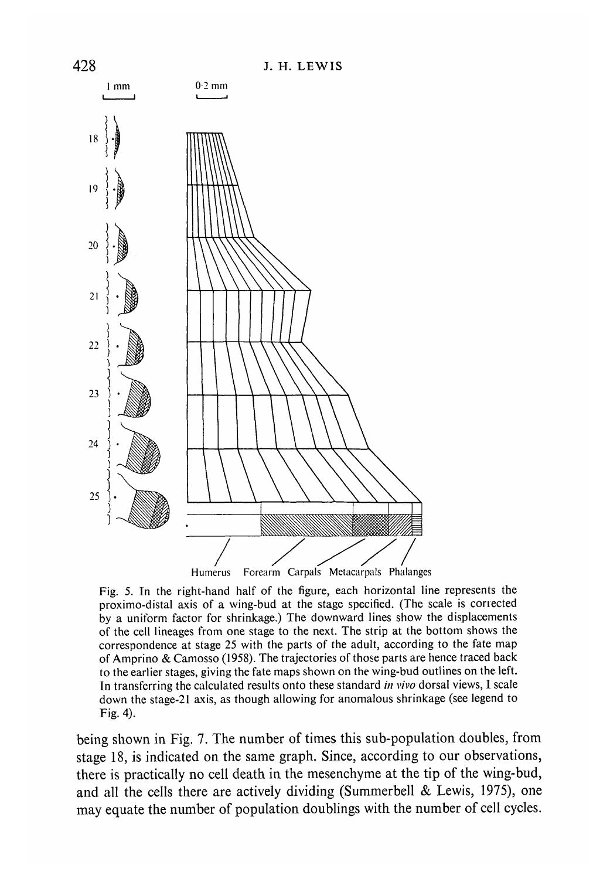

Fig. 5. In the right-hand half of the figure, each horizontal line represents the proximo-distal axis of a wing-bud at the stage specified. (The scale is corrected by a uniform factor for shrinkage.) The downward lines show the displacements of the cell lineages from one stage to the next. The strip at the bottom shows the correspondence at stage 25 with the parts of the adult, according to the fate map of Amprino & Camosso (1958). The trajectories of those parts are hence traced back to the earlier stages, giving the fate maps shown on the wing-bud outlines on the left. In transferring the calculated results onto these standard *in vivo* dorsal views, I scale down the stage-21 axis, as though allowing for anomalous shrinkage (see legend to Fig. 4).

being shown in Fig. 7. The number of times this sub-population doubles, from stage 18, is indicated on the same graph. Since, according to our observations, there is practically no cell death in the mesenchyme at the tip of the wing-bud, and all the cells there are actively dividing (Summerbell & Lewis, 1975), one may equate the number of population doublings with the number of cell cycles.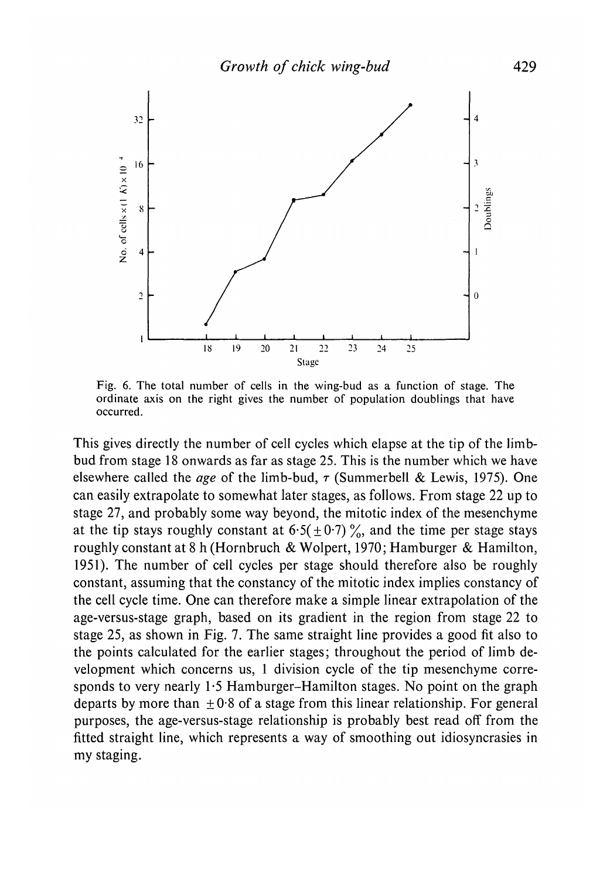

Fig. 6. The total number of cells in the wing-bud as a function of stage. The ordinate axis on the right gives the number of population doublings that have occurred.

This gives directly the number of cell cycles which elapse at the tip of the limbbud from stage 18 onwards as far as stage 25. This is the number which we have elsewhere called the *age* of the limb-bud, r (Summerbell & Lewis, 1975). One can easily extrapolate to somewhat later stages, as follows. From stage 22 up to stage 27, and probably some way beyond, the mitotic index of the mesenchyme at the tip stays roughly constant at  $6.5(±0.7)$ %, and the time per stage stays roughly constant at 8 h (Hornbruch & Wolpert, 1970; Hamburger & Hamilton, 1951). The number of cell cycles per stage should therefore also be roughly constant, assuming that the constancy of the mitotic index implies constancy of the cell cycle time. One can therefore make a simple linear extrapolation of the age-versus-stage graph, based on its gradient in the region from stage 22 to stage 25, as shown in Fig. 7. The same straight line provides a good fit also to the points calculated for the earlier stages; throughout the period of limb development which concerns us, 1 division cycle of the tip mesenchyme corresponds to very nearly 1-5 Hamburger-Hamilton stages. No point on the graph departs by more than  $\pm 0.8$  of a stage from this linear relationship. For general purposes, the age-versus-stage relationship is probably best read off from the fitted straight line, which represents a way of smoothing out idiosyncrasies in my staging.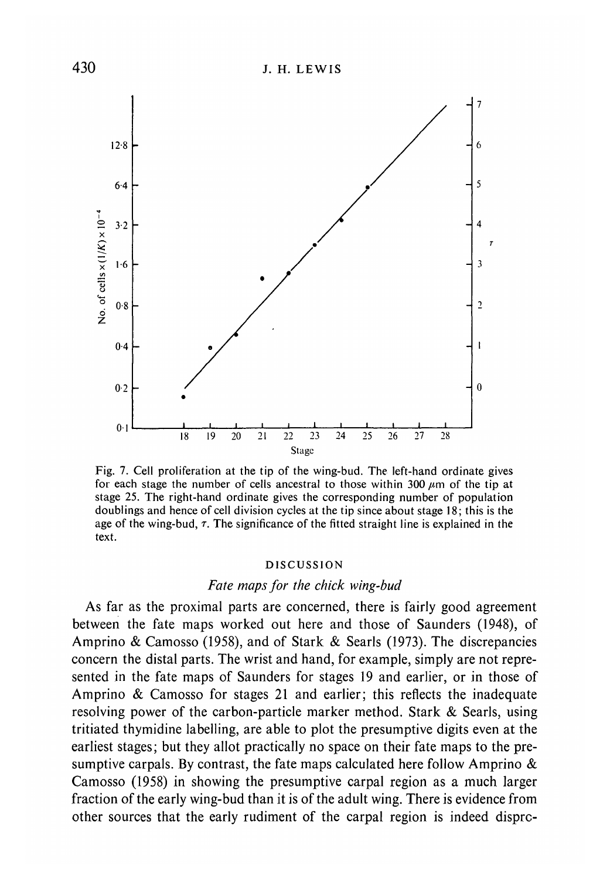

Fig. 7. Cell proliferation at the tip of the wing-bud. The left-hand ordinate gives for each stage the number of cells ancestral to those within 300  $\mu$ m of the tip at stage 25. The right-hand ordinate gives the corresponding number of population doublings and hence of cell division cycles at the tip since about stage 18; this is the age of the wing-bud,  $\tau$ . The significance of the fitted straight line is explained in the text.

#### DISCUSSION

# *Fate maps for the chick wing-bud*

As far as the proximal parts are concerned, there is fairly good agreement between the fate maps worked out here and those of Saunders (1948), of Amprino & Camosso (1958), and of Stark & Searls (1973). The discrepancies concern the distal parts. The wrist and hand, for example, simply are not represented in the fate maps of Saunders for stages 19 and earlier, or in those of Amprino & Camosso for stages 21 and earlier; this reflects the inadequate resolving power of the carbon-particle marker method. Stark & Searls, using tritiated thymidine labelling, are able to plot the presumptive digits even at the earliest stages; but they allot practically no space on their fate maps to the presumptive carpals. By contrast, the fate maps calculated here follow Amprino & Camosso (1958) in showing the presumptive carpal region as a much larger fraction of the early wing-bud than it is of the adult wing. There is evidence from other sources that the early rudiment of the carpal region is indeed disprc-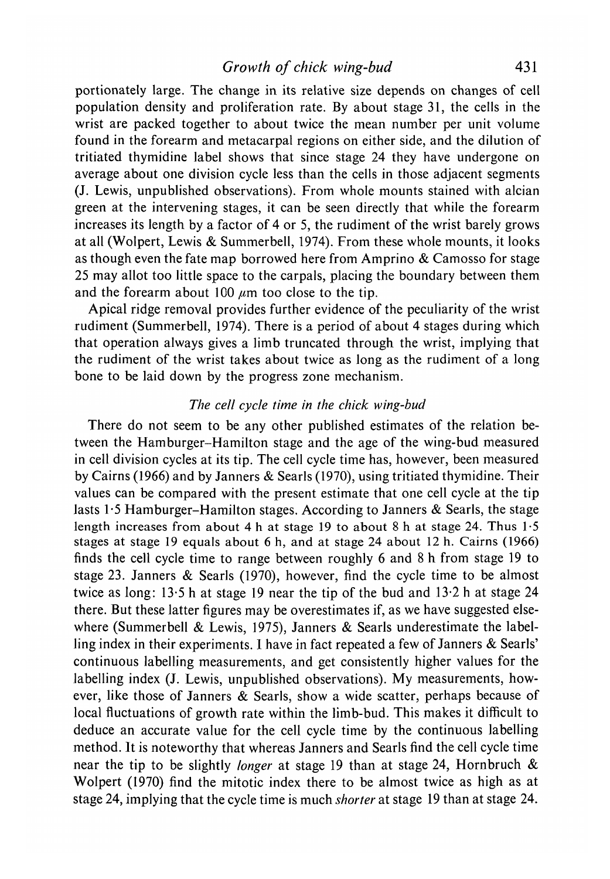portionately large. The change in its relative size depends on changes of cell population density and proliferation rate. By about stage 31, the cells in the wrist are packed together to about twice the mean number per unit volume found in the forearm and metacarpal regions on either side, and the dilution of tritiated thymidine label shows that since stage 24 they have undergone on average about one division cycle less than the cells in those adjacent segments (J. Lewis, unpublished observations). From whole mounts stained with alcian green at the intervening stages, it can be seen directly that while the forearm increases its length by a factor of 4 or 5, the rudiment of the wrist barely grows at all (Wolpert, Lewis & Summerbell, 1974). From these whole mounts, it looks as though even the fate map borrowed here from Amprino & Camosso for stage 25 may allot too little space to the carpals, placing the boundary between them and the forearm about 100  $\mu$ m too close to the tip.

Apical ridge removal provides further evidence of the peculiarity of the wrist rudiment (Summerbell, 1974). There is a period of about 4 stages during which that operation always gives a limb truncated through the wrist, implying that the rudiment of the wrist takes about twice as long as the rudiment of a long bone to be laid down by the progress zone mechanism.

# *The cell cycle time in the chick wing-bud*

There do not seem to be any other published estimates of the relation between the Hamburger-Hamilton stage and the age of the wing-bud measured in cell division cycles at its tip. The cell cycle time has, however, been measured by Cairns (1966) and by Janners & Searls (1970), using tritiated thymidine. Their values can be compared with the present estimate that one cell cycle at the tip lasts 1-5 Hamburger-Hamilton stages. According to Janners & Searls, the stage length increases from about 4 h at stage 19 to about 8 h at stage 24. Thus  $1.5$ stages at stage 19 equals about 6 h, and at stage 24 about 12 h. Cairns (1966) finds the cell cycle time to range between roughly 6 and 8 h from stage 19 to stage 23. Janners & Searls (1970), however, find the cycle time to be almost twice as long: 13-5 h at stage 19 near the tip of the bud and 13-2 h at stage 24 there. But these latter figures may be overestimates if, as we have suggested elsewhere (Summerbell & Lewis, 1975), Janners & Searls underestimate the labelling index in their experiments. I have in fact repeated a few of Janners & Searls' continuous labelling measurements, and get consistently higher values for the labelling index (J. Lewis, unpublished observations). My measurements, however, like those of Janners & Searls, show a wide scatter, perhaps because of local fluctuations of growth rate within the limb-bud. This makes it difficult to deduce an accurate value for the cell cycle time by the continuous labelling method. It is noteworthy that whereas Janners and Searls find the cell cycle time near the tip to be slightly *longer* at stage 19 than at stage 24, Hornbruch & Wolpert (1970) find the mitotic index there to be almost twice as high as at stage 24, implying that the cycle time is much *shorter* at stage 19 than at stage 24.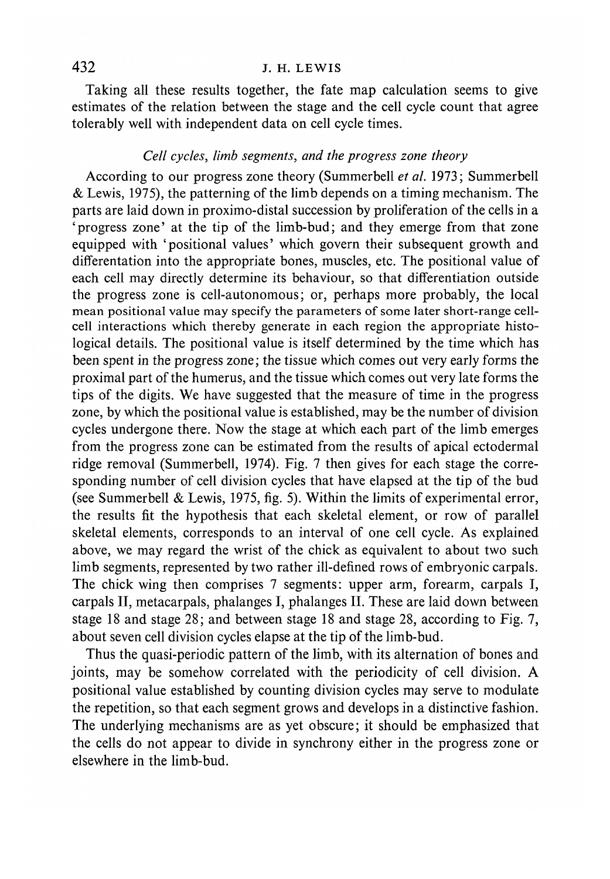# 432 J. H. LEWIS

Taking all these results together, the fate map calculation seems to give estimates of the relation between the stage and the cell cycle count that agree tolerably well with independent data on cell cycle times.

## *Cell cycles, limb segments, and the progress zone theory*

According to our progress zone theory (Summerbell *et ah* 1973; Summerbell & Lewis, 1975), the patterning of the limb depends on a timing mechanism. The parts are laid down in proximo-distal succession by proliferation of the cells in a 'progress zone' at the tip of the limb-bud; and they emerge from that zone equipped with 'positional values' which govern their subsequent growth and differentation into the appropriate bones, muscles, etc. The positional value of each cell may directly determine its behaviour, so that differentiation outside the progress zone is cell-autonomous; or, perhaps more probably, the local mean positional value may specify the parameters of some later short-range cellcell interactions which thereby generate in each region the appropriate histological details. The positional value is itself determined by the time which has been spent in the progress zone; the tissue which comes out very early forms the proximal part of the humerus, and the tissue which comes out very late forms the tips of the digits. We have suggested that the measure of time in the progress zone, by which the positional value is established, may be the number of division cycles undergone there. Now the stage at which each part of the limb emerges from the progress zone can be estimated from the results of apical ectodermal ridge removal (Summerbell, 1974). Fig. 7 then gives for each stage the corresponding number of cell division cycles that have elapsed at the tip of the bud (see Summerbell & Lewis, 1975, fig. 5). Within the limits of experimental error, the results fit the hypothesis that each skeletal element, or row of parallel skeletal elements, corresponds to an interval of one cell cycle. As explained above, we may regard the wrist of the chick as equivalent to about two such limb segments, represented by two rather ill-defined rows of embryonic carpals. The chick wing then comprises 7 segments: upper arm, forearm, carpals I, carpals II, metacarpals, phalanges I, phalanges II. These are laid down between stage 18 and stage 28; and between stage 18 and stage 28, according to Fig. 7, about seven cell division cycles elapse at the tip of the limb-bud.

Thus the quasi-periodic pattern of the limb, with its alternation of bones and joints, may be somehow correlated with the periodicity of cell division. A positional value established by counting division cycles may serve to modulate the repetition, so that each segment grows and develops in a distinctive fashion. The underlying mechanisms are as yet obscure; it should be emphasized that the cells do not appear to divide in synchrony either in the progress zone or elsewhere in the limb-bud.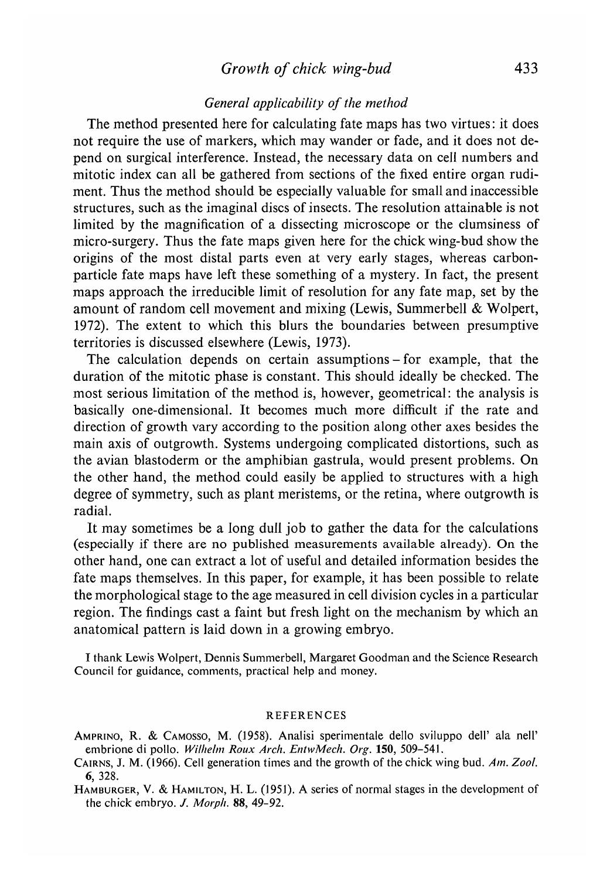# *Growth of chick wing-bud* 433

# *General applicability of the method*

The method presented here for calculating fate maps has two virtues: it does not require the use of markers, which may wander or fade, and it does not depend on surgical interference. Instead, the necessary data on cell numbers and mitotic index can all be gathered from sections of the fixed entire organ rudiment. Thus the method should be especially valuable for small and inaccessible structures, such as the imaginal discs of insects. The resolution attainable is not limited by the magnification of a dissecting microscope or the clumsiness of micro-surgery. Thus the fate maps given here for the chick wing-bud show the origins of the most distal parts even at very early stages, whereas carbonparticle fate maps have left these something of a mystery. In fact, the present maps approach the irreducible limit of resolution for any fate map, set by the amount of random cell movement and mixing (Lewis, Summerbell & Wolpert, 1972). The extent to which this blurs the boundaries between presumptive territories is discussed elsewhere (Lewis, 1973).

The calculation depends on certain assumptions - for example, that the duration of the mitotic phase is constant. This should ideally be checked. The most serious limitation of the method is, however, geometrical: the analysis is basically one-dimensional. It becomes much more difficult if the rate and direction of growth vary according to the position along other axes besides the main axis of outgrowth. Systems undergoing complicated distortions, such as the avian blastoderm or the amphibian gastrula, would present problems. On the other hand, the method could easily be applied to structures with a high degree of symmetry, such as plant meristems, or the retina, where outgrowth is radial.

It may sometimes be a long dull job to gather the data for the calculations (especially if there are no published measurements available already). On the other hand, one can extract a lot of useful and detailed information besides the fate maps themselves. In this paper, for example, it has been possible to relate the morphological stage to the age measured in cell division cycles in a particular region. The findings cast a faint but fresh light on the mechanism by which an anatomical pattern is laid down in a growing embryo.

I thank Lewis Wolpert, Dennis Summerbell, Margaret Goodman and the Science Research Council for guidance, comments, practical help and money.

#### **REFERENCES**

- AMPRINO, R. & CAMOSSO, M. (1958). Analisi sperimentale dello sviluppo dell' ala nell' embrione di polio. *Wilhehn Roux Arch. EntwMech. Org.* **150,** 509-541.
- CAIRNS, J. M. (1966). Cell generation times and the growth of the chick wing bud. *Am. Zool.* 6, 328.
- HAMBURGER, V. & HAMILTON, H. L. (1951). A series of normal stages in the development of the chick embryo. /. *Morph.* 88, 49-92.